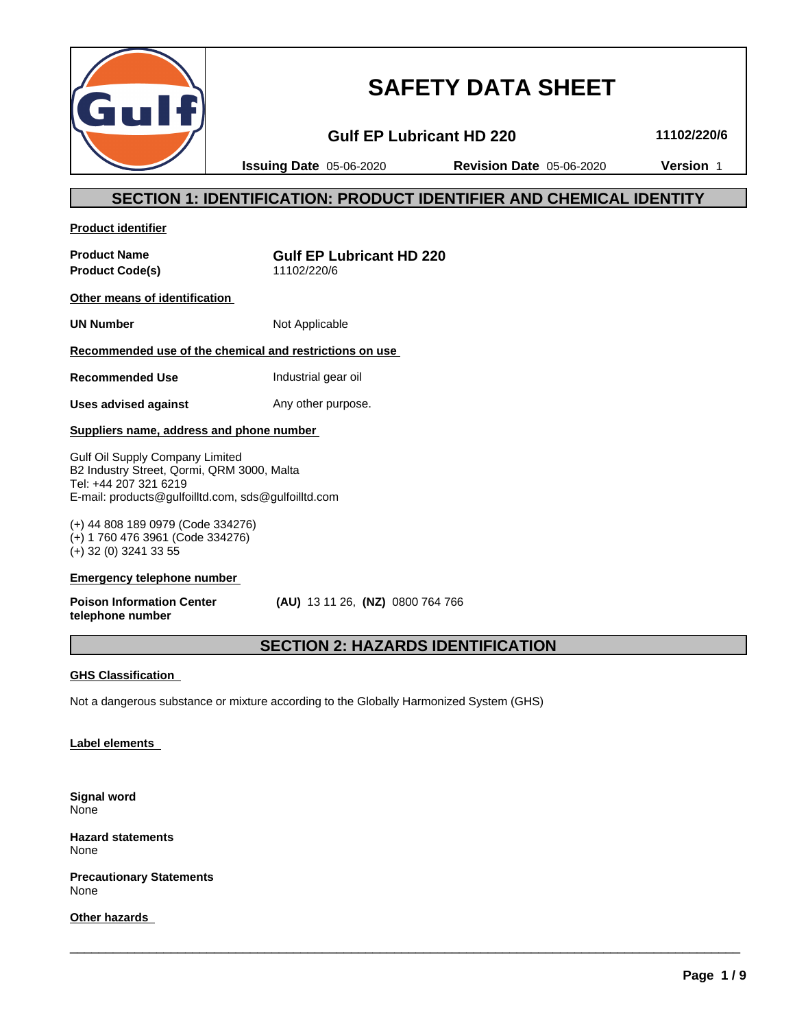

# **SAFETY DATA SHEET**

**Gulf EP Lubricant HD 220 11102/220/6**

**Issuing Date** 05-06-2020 **Revision Date** 05-06-2020 **Version** 1

# **SECTION 1: IDENTIFICATION: PRODUCT IDENTIFIER AND CHEMICAL IDENTITY**

**Product identifier**

**Product Code(s)** 11102/220/6

**Product Name Gulf EP Lubricant HD 220**

**Other means of identification**

**UN Number** Not Applicable

# **Recommended use of the chemical and restrictions on use**

**Recommended Use Industrial gear oil** 

**Uses advised against** Any other purpose.

### **Suppliers name, address and phone number**

Gulf Oil Supply Company Limited B2 Industry Street, Qormi, QRM 3000, Malta Tel: +44 207 321 6219 E-mail: products@gulfoilltd.com, sds@gulfoilltd.com

(+) 44 808 189 0979 (Code 334276) (+) 1 760 476 3961 (Code 334276) (+) 32 (0) 3241 33 55

#### **Emergency telephone number**

**Poison Information Center telephone number**

 **(AU)** 13 11 26, **(NZ)** 0800 764 766

# **SECTION 2: HAZARDS IDENTIFICATION**

 $\overline{\phantom{a}}$  ,  $\overline{\phantom{a}}$  ,  $\overline{\phantom{a}}$  ,  $\overline{\phantom{a}}$  ,  $\overline{\phantom{a}}$  ,  $\overline{\phantom{a}}$  ,  $\overline{\phantom{a}}$  ,  $\overline{\phantom{a}}$  ,  $\overline{\phantom{a}}$  ,  $\overline{\phantom{a}}$  ,  $\overline{\phantom{a}}$  ,  $\overline{\phantom{a}}$  ,  $\overline{\phantom{a}}$  ,  $\overline{\phantom{a}}$  ,  $\overline{\phantom{a}}$  ,  $\overline{\phantom{a}}$ 

### **GHS Classification**

Not a dangerous substance or mixture according to the Globally Harmonized System (GHS)

### **Label elements**

**Signal word** None

**Hazard statements** None

**Precautionary Statements** None

**Other hazards**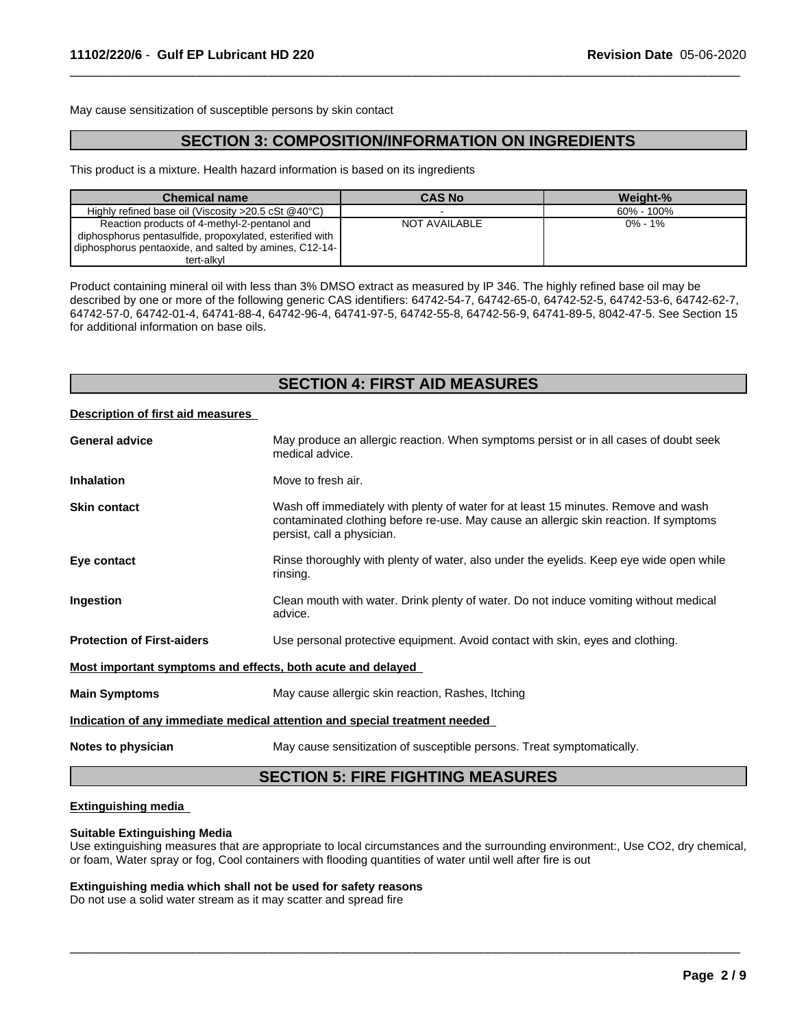May cause sensitization of susceptible persons by skin contact

# **SECTION 3: COMPOSITION/INFORMATION ON INGREDIENTS**

 $\overline{\phantom{a}}$  ,  $\overline{\phantom{a}}$  ,  $\overline{\phantom{a}}$  ,  $\overline{\phantom{a}}$  ,  $\overline{\phantom{a}}$  ,  $\overline{\phantom{a}}$  ,  $\overline{\phantom{a}}$  ,  $\overline{\phantom{a}}$  ,  $\overline{\phantom{a}}$  ,  $\overline{\phantom{a}}$  ,  $\overline{\phantom{a}}$  ,  $\overline{\phantom{a}}$  ,  $\overline{\phantom{a}}$  ,  $\overline{\phantom{a}}$  ,  $\overline{\phantom{a}}$  ,  $\overline{\phantom{a}}$ 

This product is a mixture. Health hazard information is based on its ingredients

| <b>Chemical name</b>                                            | <b>CAS No</b> | Weight-%   |
|-----------------------------------------------------------------|---------------|------------|
| Highly refined base oil (Viscosity $>20.5$ cSt $@40^{\circ}$ C) |               | 60% - 100% |
| Reaction products of 4-methyl-2-pentanol and                    | NOT AVAILABLE | 0% - 1%    |
| diphosphorus pentasulfide, propoxylated, esterified with        |               |            |
| diphosphorus pentaoxide, and salted by amines, C12-14-          |               |            |
| tert-alkvl                                                      |               |            |

Product containing mineral oil with less than 3% DMSO extract as measured by IP 346. The highly refined base oil may be described by one or more of the following generic CAS identifiers: 64742-54-7, 64742-65-0, 64742-52-5, 64742-53-6, 64742-62-7, 64742-57-0, 64742-01-4, 64741-88-4, 64742-96-4, 64741-97-5, 64742-55-8, 64742-56-9, 64741-89-5, 8042-47-5. See Section 15 for additional information on base oils.

# **SECTION 4: FIRST AID MEASURES**

#### **Description of first aid measures**

|                                                                            | <b>SECTION 5: FIRE FIGHTING MEASURES</b>                                                                                                                                                                  |  |
|----------------------------------------------------------------------------|-----------------------------------------------------------------------------------------------------------------------------------------------------------------------------------------------------------|--|
| Notes to physician                                                         | May cause sensitization of susceptible persons. Treat symptomatically.                                                                                                                                    |  |
| Indication of any immediate medical attention and special treatment needed |                                                                                                                                                                                                           |  |
| <b>Main Symptoms</b>                                                       | May cause allergic skin reaction, Rashes, Itching                                                                                                                                                         |  |
| Most important symptoms and effects, both acute and delayed                |                                                                                                                                                                                                           |  |
| <b>Protection of First-aiders</b>                                          | Use personal protective equipment. Avoid contact with skin, eyes and clothing.                                                                                                                            |  |
| Ingestion                                                                  | Clean mouth with water. Drink plenty of water. Do not induce vomiting without medical<br>advice.                                                                                                          |  |
| Eye contact                                                                | Rinse thoroughly with plenty of water, also under the eyelids. Keep eye wide open while<br>rinsing.                                                                                                       |  |
| <b>Skin contact</b>                                                        | Wash off immediately with plenty of water for at least 15 minutes. Remove and wash<br>contaminated clothing before re-use. May cause an allergic skin reaction. If symptoms<br>persist, call a physician. |  |
| <b>Inhalation</b>                                                          | Move to fresh air.                                                                                                                                                                                        |  |
| <b>General advice</b>                                                      | May produce an allergic reaction. When symptoms persist or in all cases of doubt seek<br>medical advice.                                                                                                  |  |
|                                                                            |                                                                                                                                                                                                           |  |

#### **Extinguishing media**

#### **Suitable Extinguishing Media**

Use extinguishing measures that are appropriate to local circumstances and the surrounding environment:, Use CO2, dry chemical, or foam, Water spray or fog, Cool containers with flooding quantities of water untilwell after fire is out

 $\overline{\phantom{a}}$  ,  $\overline{\phantom{a}}$  ,  $\overline{\phantom{a}}$  ,  $\overline{\phantom{a}}$  ,  $\overline{\phantom{a}}$  ,  $\overline{\phantom{a}}$  ,  $\overline{\phantom{a}}$  ,  $\overline{\phantom{a}}$  ,  $\overline{\phantom{a}}$  ,  $\overline{\phantom{a}}$  ,  $\overline{\phantom{a}}$  ,  $\overline{\phantom{a}}$  ,  $\overline{\phantom{a}}$  ,  $\overline{\phantom{a}}$  ,  $\overline{\phantom{a}}$  ,  $\overline{\phantom{a}}$ 

#### **Extinguishing media which shall not be used for safety reasons**

Do not use a solid water stream as it may scatter and spread fire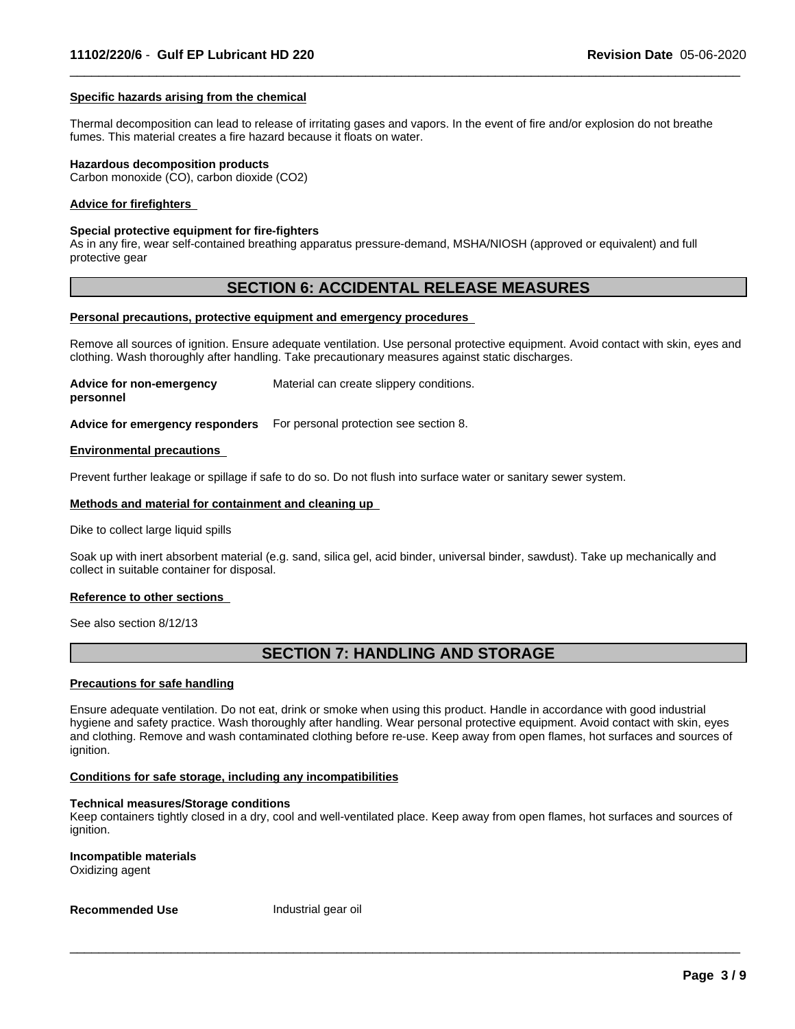#### **Specific hazards arising from the chemical**

Thermal decomposition can lead to release of irritating gases and vapors. In the event of fire and/or explosion do not breathe fumes. This material creates a fire hazard because it floats on water.

 $\overline{\phantom{a}}$  ,  $\overline{\phantom{a}}$  ,  $\overline{\phantom{a}}$  ,  $\overline{\phantom{a}}$  ,  $\overline{\phantom{a}}$  ,  $\overline{\phantom{a}}$  ,  $\overline{\phantom{a}}$  ,  $\overline{\phantom{a}}$  ,  $\overline{\phantom{a}}$  ,  $\overline{\phantom{a}}$  ,  $\overline{\phantom{a}}$  ,  $\overline{\phantom{a}}$  ,  $\overline{\phantom{a}}$  ,  $\overline{\phantom{a}}$  ,  $\overline{\phantom{a}}$  ,  $\overline{\phantom{a}}$ 

#### **Hazardous decomposition products**

Carbon monoxide (CO), carbon dioxide (CO2)

#### **Advice for firefighters**

#### **Special protective equipment for fire-fighters**

As in any fire, wear self-contained breathing apparatus pressure-demand, MSHA/NIOSH (approved or equivalent) and full protective gear

# **SECTION 6: ACCIDENTAL RELEASE MEASURES**

#### **Personal precautions, protective equipment and emergency procedures**

Remove all sources of ignition. Ensure adequate ventilation. Use personal protective equipment. Avoid contact with skin, eyes and clothing. Wash thoroughly after handling. Take precautionary measures against static discharges.

**Advice for non-emergency personnel** Material can create slippery conditions.

**Advice for emergency responders** For personal protection see section 8.

#### **Environmental precautions**

Prevent further leakage or spillage if safe to do so. Do not flush into surface water or sanitary sewer system.

#### **Methods and material for containment and cleaning up**

Dike to collect large liquid spills

Soak up with inert absorbent material (e.g. sand, silica gel, acid binder, universal binder, sawdust). Take up mechanically and collect in suitable container for disposal.

#### **Reference to other sections**

See also section 8/12/13

# **SECTION 7: HANDLING AND STORAGE**

#### **Precautions for safe handling**

Ensure adequate ventilation. Do not eat, drink or smoke when using this product. Handle in accordance with good industrial hygiene and safety practice. Wash thoroughly after handling. Wear personal protective equipment. Avoid contact with skin, eyes and clothing. Remove and wash contaminated clothing before re-use. Keep away from open flames, hot surfaces and sources of ignition.

#### **Conditions for safe storage, including any incompatibilities**

#### **Technical measures/Storage conditions**

Keep containers tightly closed in a dry, cool and well-ventilated place. Keep away from open flames, hot surfaces and sources of ignition.

 $\overline{\phantom{a}}$  ,  $\overline{\phantom{a}}$  ,  $\overline{\phantom{a}}$  ,  $\overline{\phantom{a}}$  ,  $\overline{\phantom{a}}$  ,  $\overline{\phantom{a}}$  ,  $\overline{\phantom{a}}$  ,  $\overline{\phantom{a}}$  ,  $\overline{\phantom{a}}$  ,  $\overline{\phantom{a}}$  ,  $\overline{\phantom{a}}$  ,  $\overline{\phantom{a}}$  ,  $\overline{\phantom{a}}$  ,  $\overline{\phantom{a}}$  ,  $\overline{\phantom{a}}$  ,  $\overline{\phantom{a}}$ 

**Incompatible materials** Oxidizing agent

**Recommended Use** Industrial gear oil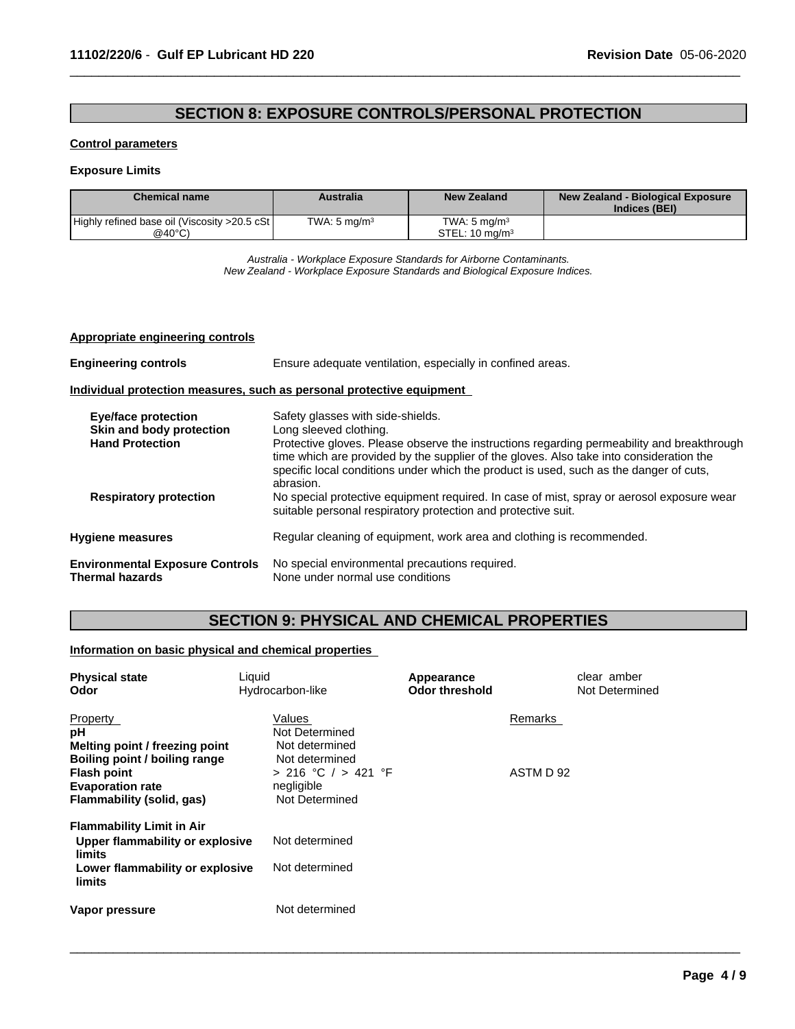# **SECTION 8: EXPOSURE CONTROLS/PERSONAL PROTECTION**

 $\overline{\phantom{a}}$  ,  $\overline{\phantom{a}}$  ,  $\overline{\phantom{a}}$  ,  $\overline{\phantom{a}}$  ,  $\overline{\phantom{a}}$  ,  $\overline{\phantom{a}}$  ,  $\overline{\phantom{a}}$  ,  $\overline{\phantom{a}}$  ,  $\overline{\phantom{a}}$  ,  $\overline{\phantom{a}}$  ,  $\overline{\phantom{a}}$  ,  $\overline{\phantom{a}}$  ,  $\overline{\phantom{a}}$  ,  $\overline{\phantom{a}}$  ,  $\overline{\phantom{a}}$  ,  $\overline{\phantom{a}}$ 

#### **Control parameters**

#### **Exposure Limits**

| <b>Chemical name</b>                          | Australia               | New Zealand               | New Zealand - Biological Exposure<br>Indices (BEI) |
|-----------------------------------------------|-------------------------|---------------------------|----------------------------------------------------|
| Highly refined base oil (Viscosity >20.5 cSt) | TWA: $5 \text{ mg/m}^3$ | TWA: 5 ma/m $3$           |                                                    |
| @40°C)                                        |                         | STEL: $10 \text{ ma/m}^3$ |                                                    |

*Australia - Workplace Exposure Standards for Airborne Contaminants. New Zealand - Workplace Exposure Standards and Biological Exposure Indices.*

#### **Appropriate engineering controls**

| <b>Engineering controls</b>                                      | Ensure adequate ventilation, especially in confined areas.                                                                                                                                                                                                                      |  |  |
|------------------------------------------------------------------|---------------------------------------------------------------------------------------------------------------------------------------------------------------------------------------------------------------------------------------------------------------------------------|--|--|
|                                                                  | Individual protection measures, such as personal protective equipment                                                                                                                                                                                                           |  |  |
| <b>Eve/face protection</b><br>Skin and body protection           | Safety glasses with side-shields.<br>Long sleeved clothing.                                                                                                                                                                                                                     |  |  |
| <b>Hand Protection</b>                                           | Protective gloves. Please observe the instructions regarding permeability and breakthrough<br>time which are provided by the supplier of the gloves. Also take into consideration the<br>specific local conditions under which the product is used, such as the danger of cuts, |  |  |
| <b>Respiratory protection</b>                                    | abrasion.<br>No special protective equipment required. In case of mist, spray or aerosol exposure wear<br>suitable personal respiratory protection and protective suit.                                                                                                         |  |  |
| <b>Hygiene measures</b>                                          | Regular cleaning of equipment, work area and clothing is recommended.                                                                                                                                                                                                           |  |  |
| <b>Environmental Exposure Controls</b><br><b>Thermal hazards</b> | No special environmental precautions required.<br>None under normal use conditions                                                                                                                                                                                              |  |  |

# **SECTION 9: PHYSICAL AND CHEMICAL PROPERTIES**

# **Information on basic physical and chemical properties**

| <b>Physical state</b><br>Odor                                                                                    | Liquid<br>Hydrocarbon-like                                                | Appearance<br><b>Odor threshold</b> | clear amber<br>Not Determined |  |
|------------------------------------------------------------------------------------------------------------------|---------------------------------------------------------------------------|-------------------------------------|-------------------------------|--|
| Property<br>рH<br>Melting point / freezing point                                                                 | Values<br>Not Determined<br>Not determined                                |                                     | Remarks                       |  |
| Boiling point / boiling range<br><b>Flash point</b><br><b>Evaporation rate</b><br>Flammability (solid, gas)      | Not determined<br>$> 216$ °C $/ > 421$ °F<br>negligible<br>Not Determined |                                     | ASTM D 92                     |  |
| <b>Flammability Limit in Air</b><br>Upper flammability or explosive<br>limits<br>Lower flammability or explosive | Not determined<br>Not determined                                          |                                     |                               |  |
| limits<br>Vapor pressure                                                                                         | Not determined                                                            |                                     |                               |  |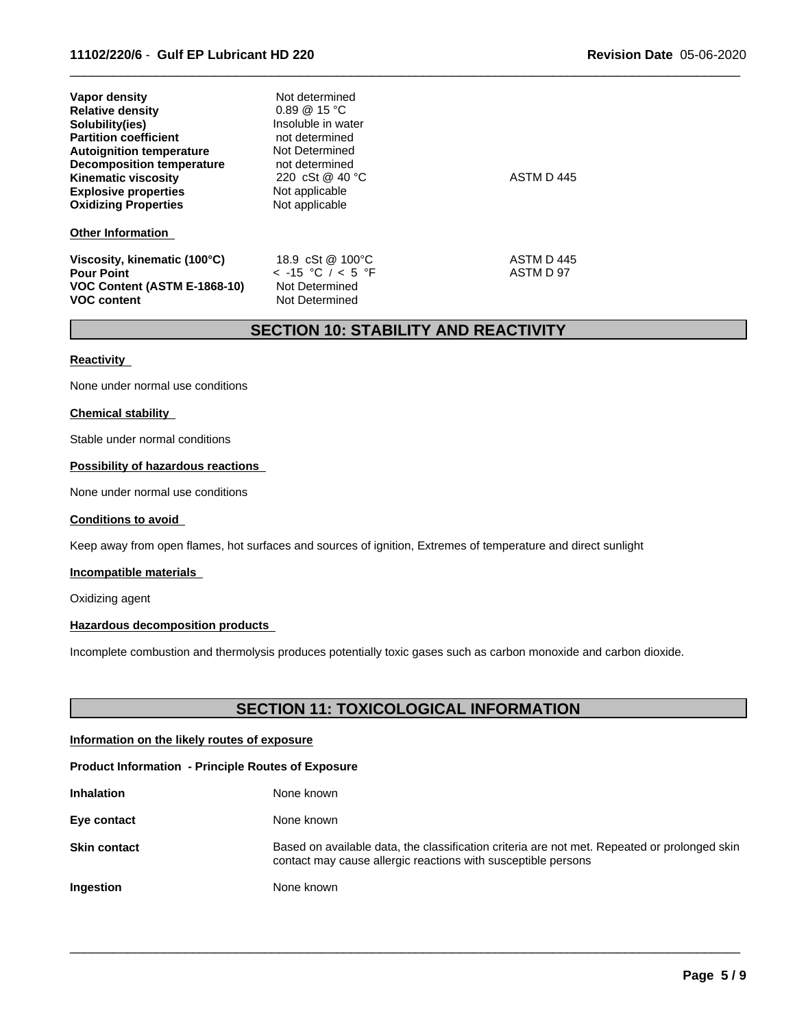| Vapor density<br><b>Relative density</b><br>Solubility(ies)<br><b>Partition coefficient</b><br><b>Autoignition temperature</b><br><b>Decomposition temperature</b><br><b>Kinematic viscosity</b><br><b>Explosive properties</b> | Not determined<br>$0.89 \ @ \ 15 \ ^{\circ}C$<br>Insoluble in water<br>not determined<br>Not Determined<br>not determined<br>220 cSt @ 40 °C<br>Not applicable | ASTM D 445              |
|---------------------------------------------------------------------------------------------------------------------------------------------------------------------------------------------------------------------------------|----------------------------------------------------------------------------------------------------------------------------------------------------------------|-------------------------|
| <b>Oxidizing Properties</b>                                                                                                                                                                                                     | Not applicable                                                                                                                                                 |                         |
| <b>Other Information</b>                                                                                                                                                                                                        |                                                                                                                                                                |                         |
| Viscosity, kinematic (100°C)<br><b>Pour Point</b><br>VOC Content (ASTM E-1868-10)<br><b>VOC content</b>                                                                                                                         | 18.9 cSt @ 100°C<br>$<$ -15 °C / $<$ 5 °F<br>Not Determined<br>Not Determined                                                                                  | ASTM D 445<br>ASTM D 97 |

# **SECTION 10: STABILITY AND REACTIVITY**

 $\overline{\phantom{a}}$  ,  $\overline{\phantom{a}}$  ,  $\overline{\phantom{a}}$  ,  $\overline{\phantom{a}}$  ,  $\overline{\phantom{a}}$  ,  $\overline{\phantom{a}}$  ,  $\overline{\phantom{a}}$  ,  $\overline{\phantom{a}}$  ,  $\overline{\phantom{a}}$  ,  $\overline{\phantom{a}}$  ,  $\overline{\phantom{a}}$  ,  $\overline{\phantom{a}}$  ,  $\overline{\phantom{a}}$  ,  $\overline{\phantom{a}}$  ,  $\overline{\phantom{a}}$  ,  $\overline{\phantom{a}}$ 

#### **Reactivity**

None under normal use conditions

#### **Chemical stability**

Stable under normal conditions

# **Possibility of hazardous reactions**

None under normal use conditions

#### **Conditions to avoid**

Keep away from open flames, hot surfaces and sources of ignition, Extremes of temperature and direct sunlight

#### **Incompatible materials**

Oxidizing agent

# **Hazardous decomposition products**

Incomplete combustion and thermolysis produces potentially toxic gases such as carbon monoxide and carbon dioxide.

# **SECTION 11: TOXICOLOGICAL INFORMATION**

### **Information on the likely routes of exposure**

### **Product Information - Principle Routes of Exposure**

| <b>Inhalation</b>   | None known                                                                                                                                                    |
|---------------------|---------------------------------------------------------------------------------------------------------------------------------------------------------------|
| Eye contact         | None known                                                                                                                                                    |
| <b>Skin contact</b> | Based on available data, the classification criteria are not met. Repeated or prolonged skin<br>contact may cause allergic reactions with susceptible persons |
| <b>Ingestion</b>    | None known                                                                                                                                                    |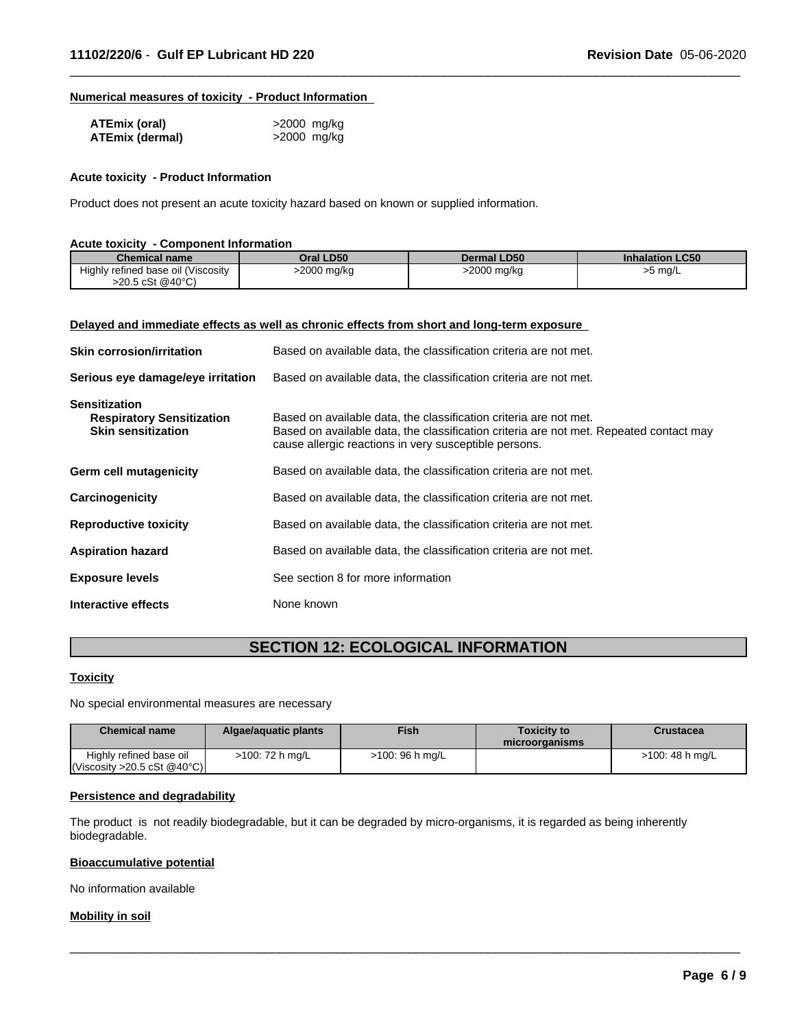# **Numerical measures of toxicity - Product Information**

| ATEmix (oral)   | >2000 mg/kg |
|-----------------|-------------|
| ATEmix (dermal) | >2000 mg/kg |

#### **Acute toxicity - Product Information**

Product does not present an acute toxicity hazard based on known or supplied information.

| <b>Acute toxicity - Component Information</b> |             |             |                        |
|-----------------------------------------------|-------------|-------------|------------------------|
| <b>Chemical name</b>                          | Oral LD50   | Dermal LD50 | <b>Inhalation LC50</b> |
| Highly refined base oil (Viscosity            | >2000 mg/kg | >2000 mg/kg | >5 mg/L                |
| $>20.5 \text{ cSt } @40^{\circ}C$             |             |             |                        |

 $\overline{\phantom{a}}$  ,  $\overline{\phantom{a}}$  ,  $\overline{\phantom{a}}$  ,  $\overline{\phantom{a}}$  ,  $\overline{\phantom{a}}$  ,  $\overline{\phantom{a}}$  ,  $\overline{\phantom{a}}$  ,  $\overline{\phantom{a}}$  ,  $\overline{\phantom{a}}$  ,  $\overline{\phantom{a}}$  ,  $\overline{\phantom{a}}$  ,  $\overline{\phantom{a}}$  ,  $\overline{\phantom{a}}$  ,  $\overline{\phantom{a}}$  ,  $\overline{\phantom{a}}$  ,  $\overline{\phantom{a}}$ 

#### **Delayed and immediate effects as well as chronic effects from short and long-term exposure**

| <b>Skin corrosion/irritation</b>                                                      | Based on available data, the classification criteria are not met.                                                                                                                                                    |
|---------------------------------------------------------------------------------------|----------------------------------------------------------------------------------------------------------------------------------------------------------------------------------------------------------------------|
| Serious eye damage/eye irritation                                                     | Based on available data, the classification criteria are not met.                                                                                                                                                    |
| <b>Sensitization</b><br><b>Respiratory Sensitization</b><br><b>Skin sensitization</b> | Based on available data, the classification criteria are not met.<br>Based on available data, the classification criteria are not met. Repeated contact may<br>cause allergic reactions in very susceptible persons. |
| Germ cell mutagenicity                                                                | Based on available data, the classification criteria are not met.                                                                                                                                                    |
| Carcinogenicity                                                                       | Based on available data, the classification criteria are not met.                                                                                                                                                    |
| <b>Reproductive toxicity</b>                                                          | Based on available data, the classification criteria are not met.                                                                                                                                                    |
| <b>Aspiration hazard</b>                                                              | Based on available data, the classification criteria are not met.                                                                                                                                                    |
| <b>Exposure levels</b>                                                                | See section 8 for more information                                                                                                                                                                                   |
| Interactive effects                                                                   | None known                                                                                                                                                                                                           |

# **SECTION 12: ECOLOGICAL INFORMATION**

#### **Toxicity**

No special environmental measures are necessary

| <b>Chemical name</b>                                   | Algae/aguatic plants | <b>Fish</b>     | <b>Toxicity to</b><br>microorganisms | Crustacea          |
|--------------------------------------------------------|----------------------|-----------------|--------------------------------------|--------------------|
| Highly refined base oil<br> Viscosity > 20.5 cSt @40°C | >100: 72 h mg/L      | >100: 96 h mg/L |                                      | $>100$ : 48 h mg/L |

 $\overline{\phantom{a}}$  ,  $\overline{\phantom{a}}$  ,  $\overline{\phantom{a}}$  ,  $\overline{\phantom{a}}$  ,  $\overline{\phantom{a}}$  ,  $\overline{\phantom{a}}$  ,  $\overline{\phantom{a}}$  ,  $\overline{\phantom{a}}$  ,  $\overline{\phantom{a}}$  ,  $\overline{\phantom{a}}$  ,  $\overline{\phantom{a}}$  ,  $\overline{\phantom{a}}$  ,  $\overline{\phantom{a}}$  ,  $\overline{\phantom{a}}$  ,  $\overline{\phantom{a}}$  ,  $\overline{\phantom{a}}$ 

#### **Persistence and degradability**

The product is not readily biodegradable, but it can be degraded by micro-organisms, it is regarded as being inherently biodegradable.

#### **Bioaccumulative potential**

No information available

#### **Mobility in soil**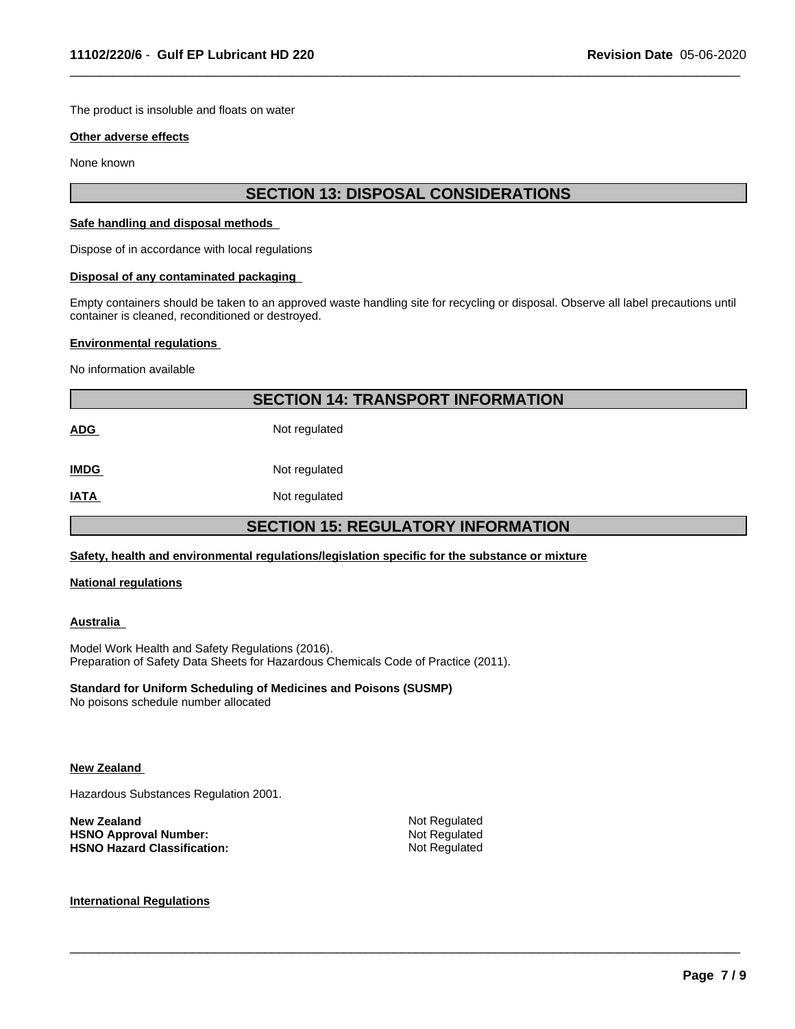The product is insoluble and floats on water

#### **Other adverse effects**

None known

# **SECTION 13: DISPOSAL CONSIDERATIONS**

 $\overline{\phantom{a}}$  ,  $\overline{\phantom{a}}$  ,  $\overline{\phantom{a}}$  ,  $\overline{\phantom{a}}$  ,  $\overline{\phantom{a}}$  ,  $\overline{\phantom{a}}$  ,  $\overline{\phantom{a}}$  ,  $\overline{\phantom{a}}$  ,  $\overline{\phantom{a}}$  ,  $\overline{\phantom{a}}$  ,  $\overline{\phantom{a}}$  ,  $\overline{\phantom{a}}$  ,  $\overline{\phantom{a}}$  ,  $\overline{\phantom{a}}$  ,  $\overline{\phantom{a}}$  ,  $\overline{\phantom{a}}$ 

#### **Safe handling and disposal methods**

Dispose of in accordance with local regulations

#### **Disposal of any contaminated packaging**

Empty containers should be taken to an approved waste handling site for recycling or disposal.Observe all label precautions until container is cleaned, reconditioned or destroyed.

#### **Environmental regulations**

No information available

# **SECTION 14: TRANSPORT INFORMATION**

ADG Not regulated

**IMDG** Not regulated

**IATA** Not regulated

# **SECTION 15: REGULATORY INFORMATION**

 $\overline{\phantom{a}}$  ,  $\overline{\phantom{a}}$  ,  $\overline{\phantom{a}}$  ,  $\overline{\phantom{a}}$  ,  $\overline{\phantom{a}}$  ,  $\overline{\phantom{a}}$  ,  $\overline{\phantom{a}}$  ,  $\overline{\phantom{a}}$  ,  $\overline{\phantom{a}}$  ,  $\overline{\phantom{a}}$  ,  $\overline{\phantom{a}}$  ,  $\overline{\phantom{a}}$  ,  $\overline{\phantom{a}}$  ,  $\overline{\phantom{a}}$  ,  $\overline{\phantom{a}}$  ,  $\overline{\phantom{a}}$ 

## **Safety, health and environmental regulations/legislation specific for the substance or mixture**

#### **National regulations**

#### **Australia**

Model Work Health and Safety Regulations (2016). Preparation of Safety Data Sheets for Hazardous Chemicals Code of Practice (2011).

#### **Standard for Uniform Scheduling of Medicines and Poisons (SUSMP)**

No poisons schedule number allocated

#### **New Zealand**

Hazardous Substances Regulation 2001.

| New Zealand                        | Not Regulated |
|------------------------------------|---------------|
| <b>HSNO Approval Number:</b>       | Not Regulated |
| <b>HSNO Hazard Classification:</b> | Not Regulated |

# **International Regulations**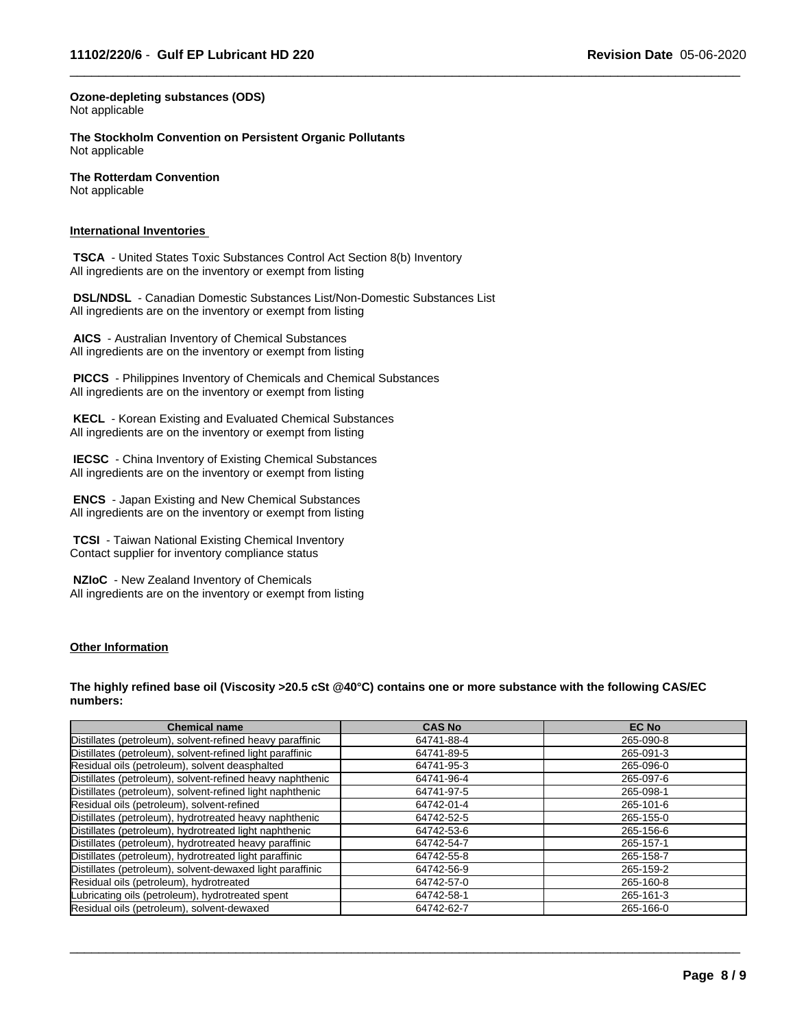$\overline{\phantom{a}}$  ,  $\overline{\phantom{a}}$  ,  $\overline{\phantom{a}}$  ,  $\overline{\phantom{a}}$  ,  $\overline{\phantom{a}}$  ,  $\overline{\phantom{a}}$  ,  $\overline{\phantom{a}}$  ,  $\overline{\phantom{a}}$  ,  $\overline{\phantom{a}}$  ,  $\overline{\phantom{a}}$  ,  $\overline{\phantom{a}}$  ,  $\overline{\phantom{a}}$  ,  $\overline{\phantom{a}}$  ,  $\overline{\phantom{a}}$  ,  $\overline{\phantom{a}}$  ,  $\overline{\phantom{a}}$ 

**Ozone-depleting substances (ODS)** Not applicable

**The Stockholm Convention on Persistent Organic Pollutants** Not applicable

**The Rotterdam Convention** Not applicable

#### **International Inventories**

 **TSCA** - United States Toxic Substances Control Act Section 8(b) Inventory All ingredients are on the inventory or exempt from listing

 **DSL/NDSL** - Canadian Domestic Substances List/Non-Domestic Substances List All ingredients are on the inventory or exempt from listing

 **AICS** - Australian Inventory of Chemical Substances All ingredients are on the inventory or exempt from listing

 **PICCS** - Philippines Inventory of Chemicals and Chemical Substances All ingredients are on the inventory or exempt from listing

 **KECL** - Korean Existing and Evaluated Chemical Substances All ingredients are on the inventory or exempt from listing

 **IECSC** - China Inventory of Existing Chemical Substances All ingredients are on the inventory or exempt from listing

 **ENCS** - Japan Existing and New Chemical Substances All ingredients are on the inventory or exempt from listing

 **TCSI** - Taiwan National Existing Chemical Inventory Contact supplier for inventory compliance status

 **NZIoC** - New Zealand Inventory of Chemicals All ingredients are on the inventory or exempt from listing

#### **Other Information**

The highly refined base oil (Viscosity >20.5 cSt @40°C) contains one or more substance with the following CAS/EC **numbers:**

| <b>Chemical name</b>                                      | <b>CAS No</b> | <b>EC No</b> |
|-----------------------------------------------------------|---------------|--------------|
| Distillates (petroleum), solvent-refined heavy paraffinic | 64741-88-4    | 265-090-8    |
| Distillates (petroleum), solvent-refined light paraffinic | 64741-89-5    | 265-091-3    |
| Residual oils (petroleum), solvent deasphalted            | 64741-95-3    | 265-096-0    |
| Distillates (petroleum), solvent-refined heavy naphthenic | 64741-96-4    | 265-097-6    |
| Distillates (petroleum), solvent-refined light naphthenic | 64741-97-5    | 265-098-1    |
| Residual oils (petroleum), solvent-refined                | 64742-01-4    | 265-101-6    |
| Distillates (petroleum), hydrotreated heavy naphthenic    | 64742-52-5    | 265-155-0    |
| Distillates (petroleum), hydrotreated light naphthenic    | 64742-53-6    | 265-156-6    |
| Distillates (petroleum), hydrotreated heavy paraffinic    | 64742-54-7    | 265-157-1    |
| Distillates (petroleum), hydrotreated light paraffinic    | 64742-55-8    | 265-158-7    |
| Distillates (petroleum), solvent-dewaxed light paraffinic | 64742-56-9    | 265-159-2    |
| Residual oils (petroleum), hydrotreated                   | 64742-57-0    | 265-160-8    |
| Lubricating oils (petroleum), hydrotreated spent          | 64742-58-1    | 265-161-3    |
| Residual oils (petroleum), solvent-dewaxed                | 64742-62-7    | 265-166-0    |